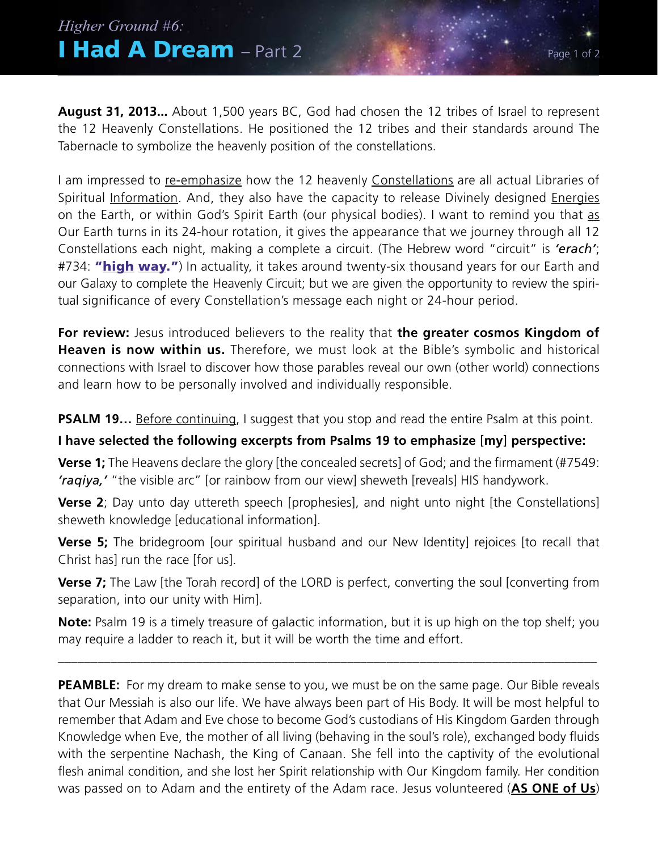## I Had A Dream – Part 2 *Higher Ground #6:*

**August 31, 2013...** About 1,500 years BC, God had chosen the 12 tribes of Israel to represent the 12 Heavenly Constellations. He positioned the 12 tribes and their standards around The Tabernacle to symbolize the heavenly position of the constellations.

I am impressed to re-emphasize how the 12 heavenly Constellations are all actual Libraries of Spiritual Information. And, they also have the capacity to release Divinely designed Energies on the Earth, or within God's Spirit Earth (our physical bodies). I want to remind you that as Our Earth turns in its 24-hour rotation, it gives the appearance that we journey through all 12 Constellations each night, making a complete a circuit. (The Hebrew word "circuit" is *'erach'*; #734: "high way.") In actuality, it takes around twenty-six thousand years for our Earth and our Galaxy to complete the Heavenly Circuit; but we are given the opportunity to review the spiritual significance of every Constellation's message each night or 24-hour period.

**For review:** Jesus introduced believers to the reality that **the greater cosmos Kingdom of Heaven is now within us.** Therefore, we must look at the Bible's symbolic and historical connections with Israel to discover how those parables reveal our own (other world) connections and learn how to be personally involved and individually responsible.

**PSALM 19...** Before continuing, I suggest that you stop and read the entire Psalm at this point.

## **I have selected the following excerpts from Psalms 19 to emphasize** [**my**] **perspective:**

**Verse 1;** The Heavens declare the glory [the concealed secrets] of God; and the firmament (#7549: *'raqiya,'* "the visible arc" [or rainbow from our view] sheweth [reveals] HIS handywork.

**Verse 2**; Day unto day uttereth speech [prophesies], and night unto night [the Constellations] sheweth knowledge [educational information].

**Verse 5;** The bridegroom [our spiritual husband and our New Identity] rejoices [to recall that Christ has] run the race [for us].

**Verse 7;** The Law [the Torah record] of the LORD is perfect, converting the soul [converting from separation, into our unity with Him].

**Note:** Psalm 19 is a timely treasure of galactic information, but it is up high on the top shelf; you may require a ladder to reach it, but it will be worth the time and effort.

––––––––––––––––––––––––––––––––––––––––––––––––––––––––––––––––––––––––––––––––––

**PEAMBLE:** For my dream to make sense to you, we must be on the same page. Our Bible reveals that Our Messiah is also our life. We have always been part of His Body. It will be most helpful to remember that Adam and Eve chose to become God's custodians of His Kingdom Garden through Knowledge when Eve, the mother of all living (behaving in the soul's role), exchanged body fluids with the serpentine Nachash, the King of Canaan. She fell into the captivity of the evolutional flesh animal condition, and she lost her Spirit relationship with Our Kingdom family. Her condition was passed on to Adam and the entirety of the Adam race. Jesus volunteered (**AS ONE of Us**)